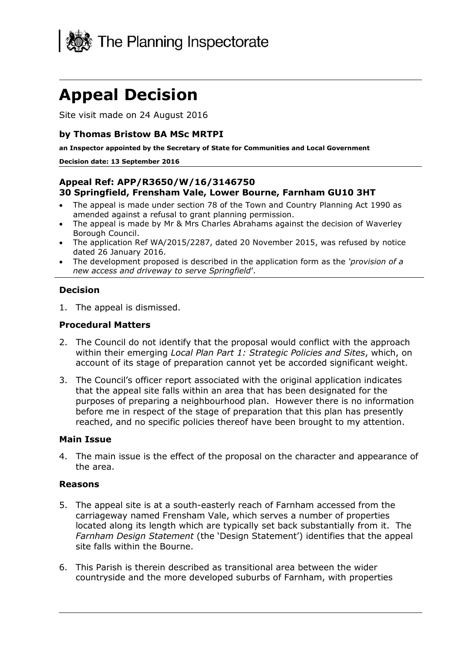

# **Appeal Decision**

Site visit made on 24 August 2016

#### **by Thomas Bristow BA MSc MRTPI**

**an Inspector appointed by the Secretary of State for Communities and Local Government**

#### **Decision date: 13 September 2016**

### **Appeal Ref: APP/R3650/W/16/3146750 30 Springfield, Frensham Vale, Lower Bourne, Farnham GU10 3HT**

- The appeal is made under section 78 of the Town and Country Planning Act 1990 as amended against a refusal to grant planning permission.
- The appeal is made by Mr & Mrs Charles Abrahams against the decision of Waverley Borough Council.
- The application Ref WA/2015/2287, dated 20 November 2015, was refused by notice dated 26 January 2016.
- The development proposed is described in the application form as the *'provision of a new access and driveway to serve Springfield*'.

#### **Decision**

1. The appeal is dismissed.

#### **Procedural Matters**

- 2. The Council do not identify that the proposal would conflict with the approach within their emerging *Local Plan Part 1: Strategic Policies and Sites*, which, on account of its stage of preparation cannot yet be accorded significant weight.
- 3. The Council's officer report associated with the original application indicates that the appeal site falls within an area that has been designated for the purposes of preparing a neighbourhood plan. However there is no information before me in respect of the stage of preparation that this plan has presently reached, and no specific policies thereof have been brought to my attention.

#### **Main Issue**

4. The main issue is the effect of the proposal on the character and appearance of the area.

#### **Reasons**

- 5. The appeal site is at a south-easterly reach of Farnham accessed from the carriageway named Frensham Vale, which serves a number of properties located along its length which are typically set back substantially from it. The *Farnham Design Statement* (the 'Design Statement') identifies that the appeal site falls within the Bourne.
- 6. This Parish is therein described as transitional area between the wider countryside and the more developed suburbs of Farnham, with properties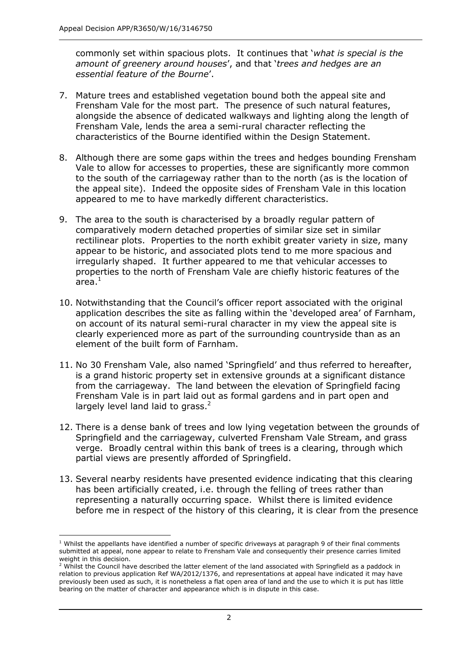commonly set within spacious plots. It continues that '*what is special is the amount of greenery around houses*', and that '*trees and hedges are an essential feature of the Bourne*'.

- 7. Mature trees and established vegetation bound both the appeal site and Frensham Vale for the most part. The presence of such natural features, alongside the absence of dedicated walkways and lighting along the length of Frensham Vale, lends the area a semi-rural character reflecting the characteristics of the Bourne identified within the Design Statement.
- 8. Although there are some gaps within the trees and hedges bounding Frensham Vale to allow for accesses to properties, these are significantly more common to the south of the carriageway rather than to the north (as is the location of the appeal site). Indeed the opposite sides of Frensham Vale in this location appeared to me to have markedly different characteristics.
- 9. The area to the south is characterised by a broadly regular pattern of comparatively modern detached properties of similar size set in similar rectilinear plots. Properties to the north exhibit greater variety in size, many appear to be historic, and associated plots tend to me more spacious and irregularly shaped. It further appeared to me that vehicular accesses to properties to the north of Frensham Vale are chiefly historic features of the area. $^{\rm 1}$
- 10. Notwithstanding that the Council's officer report associated with the original application describes the site as falling within the 'developed area' of Farnham, on account of its natural semi-rural character in my view the appeal site is clearly experienced more as part of the surrounding countryside than as an element of the built form of Farnham.
- 11. No 30 Frensham Vale, also named 'Springfield' and thus referred to hereafter, is a grand historic property set in extensive grounds at a significant distance from the carriageway. The land between the elevation of Springfield facing Frensham Vale is in part laid out as formal gardens and in part open and largely level land laid to grass. $2$
- 12. There is a dense bank of trees and low lying vegetation between the grounds of Springfield and the carriageway, culverted Frensham Vale Stream, and grass verge. Broadly central within this bank of trees is a clearing, through which partial views are presently afforded of Springfield.
- 13. Several nearby residents have presented evidence indicating that this clearing has been artificially created, i.e. through the felling of trees rather than representing a naturally occurring space. Whilst there is limited evidence before me in respect of the history of this clearing, it is clear from the presence

 $\overline{a}$ 

 $<sup>1</sup>$  Whilst the appellants have identified a number of specific driveways at paragraph 9 of their final comments</sup> submitted at appeal, none appear to relate to Frensham Vale and consequently their presence carries limited weight in this decision.

 $<sup>2</sup>$  Whilst the Council have described the latter element of the land associated with Springfield as a paddock in</sup> relation to previous application Ref WA/2012/1376, and representations at appeal have indicated it may have previously been used as such, it is nonetheless a flat open area of land and the use to which it is put has little bearing on the matter of character and appearance which is in dispute in this case.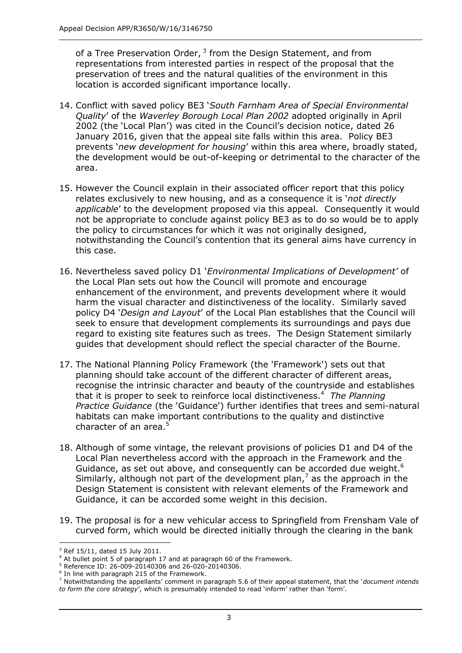of a Tree Preservation Order,  $3$  from the Design Statement, and from representations from interested parties in respect of the proposal that the preservation of trees and the natural qualities of the environment in this location is accorded significant importance locally.

- 14. Conflict with saved policy BE3 '*South Farnham Area of Special Environmental Quality*' of the *Waverley Borough Local Plan 2002* adopted originally in April 2002 (the 'Local Plan') was cited in the Council's decision notice, dated 26 January 2016, given that the appeal site falls within this area. Policy BE3 prevents '*new development for housing*' within this area where, broadly stated, the development would be out-of-keeping or detrimental to the character of the area.
- 15. However the Council explain in their associated officer report that this policy relates exclusively to new housing, and as a consequence it is '*not directly applicable*' to the development proposed via this appeal. Consequently it would not be appropriate to conclude against policy BE3 as to do so would be to apply the policy to circumstances for which it was not originally designed, notwithstanding the Council's contention that its general aims have currency in this case.
- 16. Nevertheless saved policy D1 '*Environmental Implications of Development'* of the Local Plan sets out how the Council will promote and encourage enhancement of the environment, and prevents development where it would harm the visual character and distinctiveness of the locality. Similarly saved policy D4 '*Design and Layout*' of the Local Plan establishes that the Council will seek to ensure that development complements its surroundings and pays due regard to existing site features such as trees. The Design Statement similarly guides that development should reflect the special character of the Bourne.
- 17. The National Planning Policy Framework (the 'Framework') sets out that planning should take account of the different character of different areas, recognise the intrinsic character and beauty of the countryside and establishes that it is proper to seek to reinforce local distinctiveness.<sup>4</sup> *The Planning Practice Guidance* (the 'Guidance') further identifies that trees and semi-natural habitats can make important contributions to the quality and distinctive character of an area.<sup>5</sup>
- 18. Although of some vintage, the relevant provisions of policies D1 and D4 of the Local Plan nevertheless accord with the approach in the Framework and the Guidance, as set out above, and consequently can be accorded due weight.<sup>6</sup> Similarly, although not part of the development plan,<sup>7</sup> as the approach in the Design Statement is consistent with relevant elements of the Framework and Guidance, it can be accorded some weight in this decision.
- 19. The proposal is for a new vehicular access to Springfield from Frensham Vale of curved form, which would be directed initially through the clearing in the bank

j  $3$  Ref 15/11, dated 15 July 2011.

<sup>&</sup>lt;sup>4</sup> At bullet point 5 of paragraph 17 and at paragraph 60 of the Framework.

<sup>5</sup> Reference ID: 26-009-20140306 and 26-020-20140306.

 $6$  In line with paragraph 215 of the Framework.

<sup>7</sup> Notwithstanding the appellants' comment in paragraph 5.6 of their appeal statement, that the '*document intends to form the core strategy*', which is presumably intended to read 'inform' rather than 'form'.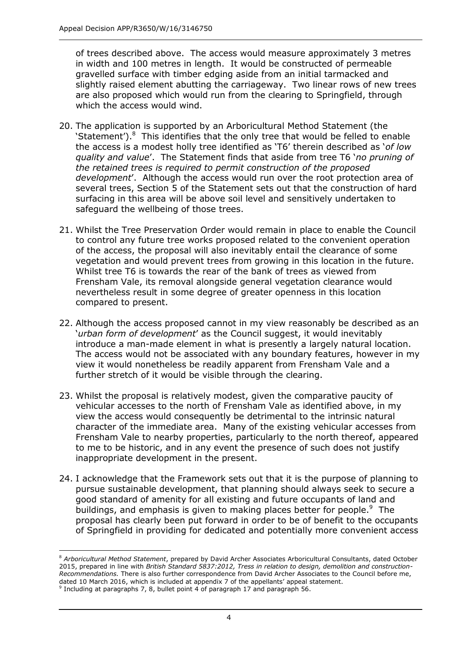of trees described above. The access would measure approximately 3 metres in width and 100 metres in length. It would be constructed of permeable gravelled surface with timber edging aside from an initial tarmacked and slightly raised element abutting the carriageway. Two linear rows of new trees are also proposed which would run from the clearing to Springfield, through which the access would wind.

- 20. The application is supported by an Arboricultural Method Statement (the 'Statement'). $8$  This identifies that the only tree that would be felled to enable the access is a modest holly tree identified as 'T6' therein described as '*of low quality and value*'. The Statement finds that aside from tree T6 '*no pruning of the retained trees is required to permit construction of the proposed development*'. Although the access would run over the root protection area of several trees, Section 5 of the Statement sets out that the construction of hard surfacing in this area will be above soil level and sensitively undertaken to safeguard the wellbeing of those trees.
- 21. Whilst the Tree Preservation Order would remain in place to enable the Council to control any future tree works proposed related to the convenient operation of the access, the proposal will also inevitably entail the clearance of some vegetation and would prevent trees from growing in this location in the future. Whilst tree T6 is towards the rear of the bank of trees as viewed from Frensham Vale, its removal alongside general vegetation clearance would nevertheless result in some degree of greater openness in this location compared to present.
- 22. Although the access proposed cannot in my view reasonably be described as an '*urban form of development*' as the Council suggest, it would inevitably introduce a man-made element in what is presently a largely natural location. The access would not be associated with any boundary features, however in my view it would nonetheless be readily apparent from Frensham Vale and a further stretch of it would be visible through the clearing.
- 23. Whilst the proposal is relatively modest, given the comparative paucity of vehicular accesses to the north of Frensham Vale as identified above, in my view the access would consequently be detrimental to the intrinsic natural character of the immediate area. Many of the existing vehicular accesses from Frensham Vale to nearby properties, particularly to the north thereof, appeared to me to be historic, and in any event the presence of such does not justify inappropriate development in the present.
- 24. I acknowledge that the Framework sets out that it is the purpose of planning to pursue sustainable development, that planning should always seek to secure a good standard of amenity for all existing and future occupants of land and buildings, and emphasis is given to making places better for people.<sup>9</sup> The proposal has clearly been put forward in order to be of benefit to the occupants of Springfield in providing for dedicated and potentially more convenient access

j

<sup>8</sup> *Arboricultural Method Statement*, prepared by David Archer Associates Arboricultural Consultants, dated October 2015, prepared in line with *British Standard 5837:2012, Tress in relation to design, demolition and construction-Recommendations.* There is also further correspondence from David Archer Associates to the Council before me, dated 10 March 2016, which is included at appendix 7 of the appellants' appeal statement.

 $9$  Including at paragraphs 7, 8, bullet point 4 of paragraph 17 and paragraph 56.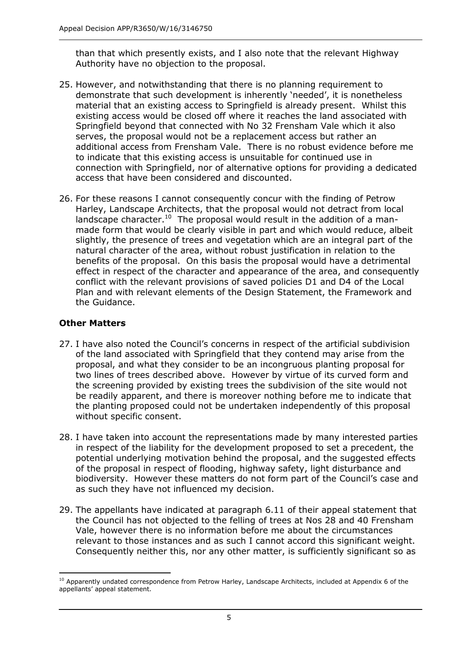than that which presently exists, and I also note that the relevant Highway Authority have no objection to the proposal.

- 25. However, and notwithstanding that there is no planning requirement to demonstrate that such development is inherently 'needed', it is nonetheless material that an existing access to Springfield is already present. Whilst this existing access would be closed off where it reaches the land associated with Springfield beyond that connected with No 32 Frensham Vale which it also serves, the proposal would not be a replacement access but rather an additional access from Frensham Vale. There is no robust evidence before me to indicate that this existing access is unsuitable for continued use in connection with Springfield, nor of alternative options for providing a dedicated access that have been considered and discounted.
- 26. For these reasons I cannot consequently concur with the finding of Petrow Harley, Landscape Architects, that the proposal would not detract from local landscape character.<sup>10</sup> The proposal would result in the addition of a manmade form that would be clearly visible in part and which would reduce, albeit slightly, the presence of trees and vegetation which are an integral part of the natural character of the area, without robust justification in relation to the benefits of the proposal. On this basis the proposal would have a detrimental effect in respect of the character and appearance of the area, and consequently conflict with the relevant provisions of saved policies D1 and D4 of the Local Plan and with relevant elements of the Design Statement, the Framework and the Guidance.

## **Other Matters**

- 27. I have also noted the Council's concerns in respect of the artificial subdivision of the land associated with Springfield that they contend may arise from the proposal, and what they consider to be an incongruous planting proposal for two lines of trees described above. However by virtue of its curved form and the screening provided by existing trees the subdivision of the site would not be readily apparent, and there is moreover nothing before me to indicate that the planting proposed could not be undertaken independently of this proposal without specific consent.
- 28. I have taken into account the representations made by many interested parties in respect of the liability for the development proposed to set a precedent, the potential underlying motivation behind the proposal, and the suggested effects of the proposal in respect of flooding, highway safety, light disturbance and biodiversity. However these matters do not form part of the Council's case and as such they have not influenced my decision.
- 29. The appellants have indicated at paragraph 6.11 of their appeal statement that the Council has not objected to the felling of trees at Nos 28 and 40 Frensham Vale, however there is no information before me about the circumstances relevant to those instances and as such I cannot accord this significant weight. Consequently neither this, nor any other matter, is sufficiently significant so as

j <sup>10</sup> Apparently undated correspondence from Petrow Harley, Landscape Architects, included at Appendix 6 of the appellants' appeal statement.